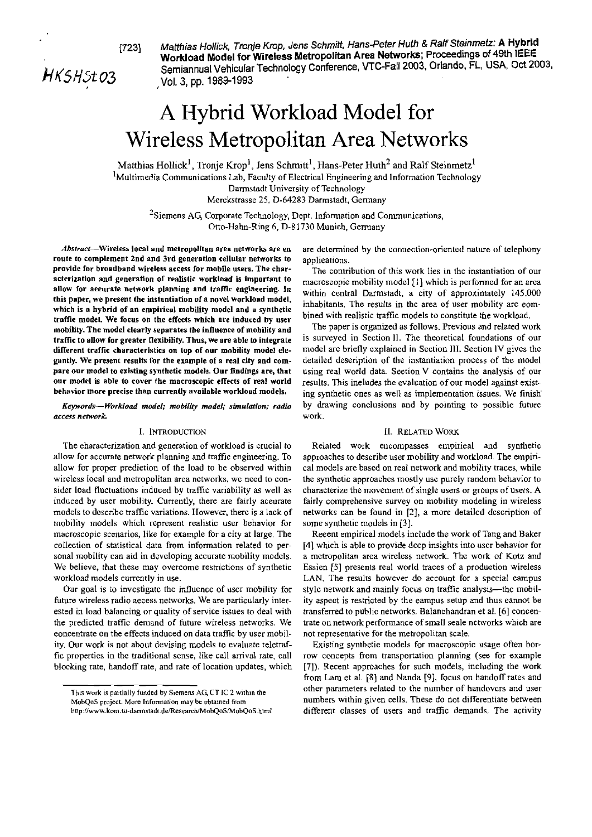**17231 Matihias Hollick, Tronje Kmp, Jens Schmitt, Hans-Peter Huth 8 Ralf Steinmetz: A Hybrid Workload Model for Wireless Metropolitan Area Network; Proceedings of 49th IEEE**  HKSHSt 03 **Semiannual Vehicular Technology Conference, VTC-Fall 2003, Orlando, FL, USA, Oct 2003, <br>Vol. 3, pp. 1989-1993** ,Vol. **3, pp. 1989-1993** 

# A Hybrid Workload Model for Wireless Metropolitan Area Networks

Matthias Hollick<sup>1</sup>, Tronje Krop<sup>1</sup>, Jens Schmitt<sup>1</sup>, Hans-Peter Huth<sup>2</sup> and Ralf Steinmetz<sup>1</sup> <sup>1</sup>Multimedia Communications Lab, Faculty of Electrical Engineering and Information Technology Darmstadt University of Technology Merckstrasse 25. D-64283 Darmstadt. Germany

 $^{2}$ Siemens AG, Corporate Technology, Dept. Information and Communications, Otto-Hahn-Ring 6, D-81730 Munich, Germany

Abstract-Wireless local and metropolitan area networks are en route to complernent 2nd and 3rd generation cellulsr networks to provide lor broadband wireless aecess lor mobile **users.** The eharacterization and generation ol realislic worklosd is important to allow for aeeurate network planning and traffic engineering. In this paper, we present the instantiation of a novel workload model, which is **a** hybrid of an ernpirical mability model and **a** synthetic traffie model. We focus on the effeets which are induced by user mobility. The model elearly separates the influence of mohility and trafie to aUow **for** greater flexibitity. Thus, we are able to integrale different tralfie charaeteristics an top of our mohility model elegantly. We present results for the example of a real city and compare our model to existing synthetic models. Our findings are, that our model is able to cover the macroscopic effects of real world behavior **more** precise than currenliy available workload models.

**Kepords-Worklond model;** mobilily **model; rimulntion; radio nccess nemork** 

## 1. INTRODUCTION

The eharacterization and generation of workload is crucial to allow for accurate network planning and traffic engineering. To allow for proper predietion of the load to be observed within wireless local and metropolitan area networks, we need to consider load fluctuations induced by traffic variability as well as induced by user mobility. Currently, there are fairly aceurate models to descnbe trafiic variations. However. there is a laek of mobility models which represent realistic user behavior for macroscopic scenarios, like for example for a city at large. The collection of statistical data from information related to personal mobility can aid in developing accurate mobility models. We believe, that these may overcome restrictions of synthetic workload models currently in use.

Our goal is to investigate the influence of user mobility for future wireless radio aecess networks. We are particularly interested in load balancing or quality of service issues to deal with the predicted traffic demand of future wireless networks. We eoncentrate on the effects induced on data traffic by user mobility. Our work is not about devising models to evaluate teletraffic properties in the traditional sense, like call amval rate. call blocking rate, handoff rate, and rate of location updates, which are determined by the connection-oriented nature of telephony appliearions.

The contribution of this work lies in the instantiation of our macroseopie mobility model **[I]** which is perfomed for an area within central Darmstadt, a city of approximately 145.000 inhabitants. The results in the area of User mobility are eombined with realistic traffic models to constitute the workload.

The paper is organized as follows. Previous and related work is surveyed in Section II. The theoretical foundations of our model are briefly explained in Section III. Section IV gives the detailed deseription of the instantiation process of the model using real world data. Seetion V contains the analysis of our results. This ineludes the evaluation of our model against existing synthetic ones as well as implementation issues. We finish by drawing conelusions and by pointing to possible future work.

## 11. RELATED WORK

Related work encompasses empirieal and synthetic approaches to describe user mobility and workload. The empirical models are based on real network and mobility traces, while the synthetic approaches mostly use purely random behavior to characterize the movement of single users or groups of users. A fairly comprehensive survey on mobility modeling in wireless networks can be found in [2], a more detailed description of some synthetic models in [3].

Reeent empirical models include the work of Tang and Baker [4] which is able to provide deep insights into user behavior for a metropolitan area wireless network. The work of Kotz and Essien [5] presents real world traces of a produetion wireless LAN. The results however do account for a special eampus style network and mainly foeus on traffic analysis-the mobility aspect is restricted by the eampus setup and thus eannot be transferred to public networks. Balanchandran et al. [6] concentrate on network performance of small seale networks which are not representative for the metropolitan scale.

Existing synthetie models for macroscopic usage often borrow concepts from transportation planning (see for example [7]). Recent approaches for such models, including the work from Lam et al. [8] and Nanda [9], focus on handoff rates and other parameters related to the number of handovcrs and user numbers within given cells. These do not differentiate between different classes of users and traffic demands. The activity

This work is partially funded by Stemens AG, CT IC 2 within the  $MobOoS$  project. More Information may be obtained from

**hllp** rrr **L.>m t..-Irnnriddi Jc Re.:ir;n M.,lx)<i M.hO<ii** htni.'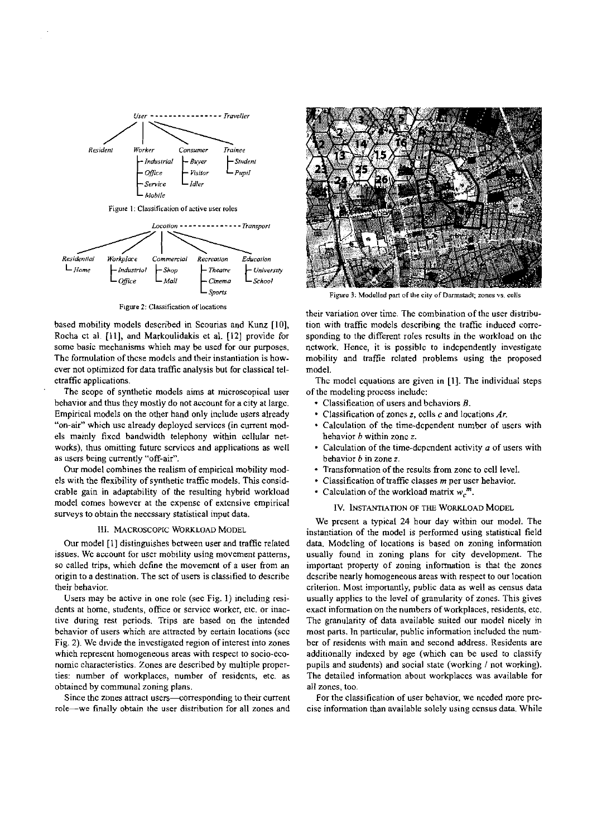

Figure 2: Classification of locations

based mobility models described in Scourias and Kunz [IO], Rocha ct al. [11], and Markoulidakis et al. [12] provide for some basic mechanisms which may be **used** for our puposes. The fomulation of thcse models and their instantiation is however not optimized for data traffic analysis but for classical teletraffic applications.

The scope of synthetic models aims at microscopical user behavior and thus they mostly do not account for a city at largc. Empirical models on the other hand only include users already "on-air" which use already deploycd serviccs (in current models mainly fixcd bandwidth telephony within cellular networks), thus omitting future services and applications as well as users being currently "off-air".

Our model combines the realism of empirical mobility models with the flexibility of synthetic trafiic models. This considcrable gain in adaptability of the resulting hybrid workload model Comes however at the expensc of extcnsive empirical surveys to obtain the necessary statistical input data.

## 111. MACROSCOPIC WORKLOAD MODEL

Our model [I] distinguishes bctween user and traffic related issues. We account for user mobility using movement patterns, so called trips, whieh define the movement of a user from an origin to a destination. The sct of users is classified to describe their behavior

Users may be active in one rolc (sec Fig. 1) including residents at home, students, office or service worker, etc. or inactive during rest periods. Trips are based on the intended behavior of users which are attracted by eertain locations (scc Fig. 2). We divide the invcstigated region of interest into zones whieh represent homogeneous areas with respect to socio-economic characteristics. Zones are described by multiple proper-<br>ties: number of workplaces, number of residents, etc. as obtained by communal zoning plans.

Since the zones attract users—corresponding to their current role-we finally obtain ihe User disiribution for all zones and



Figure 3: Modelled part of the city of Darmstadt; zones vs. cells

their variation over time. The combination of the user distribution with traffic models describing the traffic induced corresponding to the different roles rcsults in the workload on thc nctwork. Hence, it is possible to independently investigate mobility and traffie related problems using the proposed model.

Thc model cquations are given in [I]. The individual steps of tbe modeling process includc:

- Classifieation of users and bchaviors B.
- Classification of zones **z,** cclls **C** and locations Ar.
- Calculation of the time-dcpendent numbcr of users with hehavior b within zonc *z.*
- . Calculation of the time-dcpcndent activity *a* of users with behavior b in Zone *r.*
- Transformation of the results from zonc to ccll level.
- Classification of traffic classes **m** per uscr hehavior.
- Calculation of the workload matrix  $w_c^m$ .

# IV. INSTANTIATION OF THE WORKLOAD MODEL

We prcsent a typical 24 hour day within our model. The instantiation of the model is performed using statistical field data. Modcling of locations is based on zoning infomation usually found in zoning plans for city development. The important property of zoning infonnation is that the zoncs dcscribe nearly homogeneous areas with respect to our location criterion. Most importantly. public data as well as census data usually applics to the level of granularity of zones. This gives exact information on the numbers of workplaces, residents, etc. The granularity of data available suited our model nicely in most parts. In particular, public information included the number of residents with main and second address. Residents are additionally indexed by age (which can be used to classify pupils and students) and social state (working / not working). The detailed infomation about workplaccs was available for all zones, too.

For the classification of user behavior, we nceded more prccise information than available solely using ccnsus data. While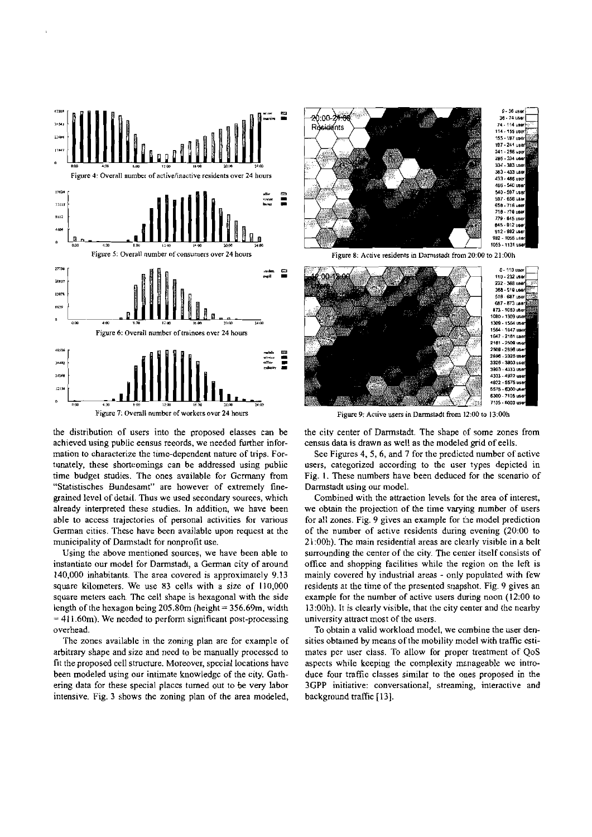

the distribution of users into the proposed elasses can be achieved using public eensus records, we needed further information to characterize the time-dependent nature of trips. Fortunately, these shortcomings can be addressed using public time budget studies. The ones available for Germany from "Statistisches Bundesamt" are however of extremely finegrained level of detail. Thus we used secondary sources, which already interpreted these studies. In addition, we have been able to access trajectories of personal activities for various German cities. These have been available upon request at the municipality of Darmstadt for nonprofit use.

Using the above mentioned sources, we have been able to instantiate our model for Darmstadt, a German city of around 140,000 inhabitants. The area covered is approximately 9.13 square kilometers. We use 83 cells with a size of 110,000 square meters each. The cell shape is hexagonal with the side length of the hexagon being  $205.80$ m (height =  $356.69$ m, width  $= 411.60$ m). We needed to perform significant post-processing overhead.

The zones available in the zoning plan are for example of arbitrary shape and size and need to be manually processed to fit the proposed cell structure. Moreover, special locations have been modeled using our intimate knowledge of the city. Gathering data for these special places turned out to be very labor intensive. Fig. 3 shows the zoning plan of the area modeled,



Figure 8: Active residents in Darmstadt from 20:00 to 21:00h



Figure 9: Active users in Darmstadt from 12:00 to 13:00h

the city center of Darmstadt. The shape of some zones from census data is drawn as well as the modeled grid of eells.

See Figures 4, 5, 6, and 7 for the predicted number of active users, categorized according to the user types depicted in Fig. 1. These numbers have been deduced for the scenario of Darmstadt using our model.

Combined with the attraction levels for the area of interest, we obtain the projection of the time varying number of users for all zones. Fig. 9 gives an example for the model prediction of the number of active residents during evening (20:00 to 21:00h). The main residential areas are clearly visible in a belt surrounding the center of the city. The center itself consists of office and shopping facilities while the region on the left is mainly covered hy industrial areas - only populated with few residents at the time of the presented snapshot. Fig. 9 gives an example for the number of active users during noon (12:00 to 13:00h). It is clearly visible, that the city center and the nearby university attract most of the users.

To obtain a valid workload model, we combine the user densities obtained by means of the mobility model with traffic estimates per user class. To allow for proper treatment of QoS aspects while keeping the complexity manageable we introduce four traffic classes similar to the ones proposed in the 3GPP initiative: conversational, streaming, interactive and background traffic [13].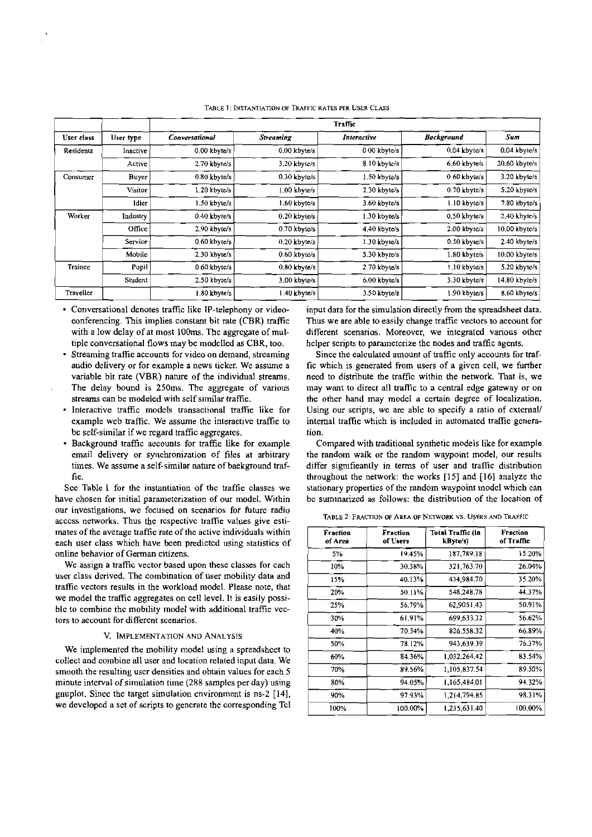|            |           |                |                  | <b>Traffic</b> |                   |                 |
|------------|-----------|----------------|------------------|----------------|-------------------|-----------------|
| User class | User type | Conversational | <b>Streaming</b> | Interactive    | <b>Background</b> | Sum             |
| Residents  | Inactive  | $0.00$ kbyte/s | $0.00$ kbyte/s   | $0.00$ kbyte/s | $0.04$ kbyte/s    | 0.04 kbyte/s    |
|            | Active    | 2.70 kbyte/s   | 3.20 kbyte/s     | 8.10 kbyte/s   | 6.60 kbyte/s      | 20.60 kbyte/s   |
| Consumer   | Buyer     | $0.80$ kbyte/s | $0.30$ kbyte/s   | 1.50 kbyte/s   | 0 60 kbyte/s      | 3.20 kbyte/s    |
|            | Visitor   | $1.20$ kbyte/s | $1.00$ kbyte/s   | 2.30 kbyte/s   | $0.70$ kbyte/s    | 5.20 kbyte/s    |
|            | Idler     | $1.50$ kbyte/s | 1.60 kbyte/s     | 3.60 kbyte/s   | $1.10$ kbyte/s    | 7.80 kbyte/s    |
| Worker     | Industry  | 0.40 kbyte/s   | $0.20$ kbyte/s   | $1.30$ kbyte/s | 0.50 kbyte/s      | $2.40$ kbyte/s  |
|            | Office    | $2.90$ kbyte/s | 0.70 kbyte/s     | 4.40 kbyte/s   | 2.00 kbyte/s      | $10.00$ kbyte/s |
|            | Service   | $0.60$ kbyte/s | $0.20$ kbyte/s   | 1.30 kbyte/s   | 0.50 kbyte/s      | 2.40 kbyte/s    |
|            | Mobile    | 2.30 kbyte/s   | $0.60$ kbyte/s   | 5.30 kbyte/s   | $1.80$ kbyte/s    | 10.00 kbyte/s   |
| Trainee    | Pupil     | 0.60 kbyte/s   | 0.80 kbyte/s     | 2.70 kbyte/s   | 1.10 kbyte/s      | 5.20 kbyte/s    |
|            | Student   | 2.50 kbyte/s   | 3.00 kbyte/s     | 6.00 kbyte/s   | 3.30 kbyte/s      | $14.80$ kbyte/s |
| Traveller  |           | 1.80 kbyte/s   | 1.40 kbyte/s     | 3.50 kbyte/s   | 1.90 kbyte/s      | 8.60 kbyte/s    |

TABLE 1: INSTANTIATION OF TRAFFIC RATES PER USER CLASS

- tiple conversational flows may be modelled as CBR, too. helper seripts to parameterize the nodes and trafiic agents.
- Streaming trafiie accounts for video on demand, streaming Since the ealculated amount of traffic only accounts for traf-
- be self-similar if we regard traffic aggregates. tion.
- 

our investigations, we focused on scenarios for future radio TABLE 2: FRACTION OF AREA OF NETWORK VS. USERS AND TRAFFIC acccss networks. Thus the respective traffie values give esti-<br>
TABLE 2: FRACTION OF AREA OF NETWORK VS. USERS AND TRAFFIC mates of the average traffie rate of the active individuals within each user class whieh have been predicted using statistics of have chosen for initial parameterization of our model. Within bc summarized as follows: the distribution of the location of online behavior of German citizens.

tors to aecount for different scenarios. user class derived. The combination of user mobility data and traffic vectors results in the workload model. Please note, that we model the traffic aggregates on cell level. It is easily possible to combine the mobilitv model with additional traffic vec-We assign a traffic vector based upon these classes for cach

#### V. IMPLEMENTATION AND ANALYSIS

We implemented the mobility model using a spreadsheet to collect and combine all User and location related input data. We smooth the resulting user densities and obtain values for each 5 minute interval of simulation time **(288** samplcs perday) using gnuplot. Sinee the target simulation environment is ns-2 [14], we developed a set of scripts to generate the corresponding Tcl

Conversational denotes trafiic like IP-telephony or video- input data for the simulation directly from the spreadsheet data. eonferencing. This implies constant bit rate (CBR) trafflc Thus we are able to easily change traffic vectors to aeeount for with a low delay of at most 100ms. The aggregate of mul-<br>different scenarios. Moreover, we integrated various other

audio delivery or for example a news ticker. We assume a fic which is generated from users of a given cell, we further variable bit rate (VBR) nature of the individual streams. need to distribute the traffic within the nework. That is, we The delay bound is 250ms. The aggregate of various may want to direct all traffic to a central edge gateway or on streams can be modeled with self similar traffie. the other hand may model a certain degree of loealization.<br>Interactive traffic models transactional traffic like for Using our seripts, we are able to specify a ratio of ex Using our seripts, we are able to specify a ratio of cxtemal/ example web traffic. We assume the interactive traffie to internal traffie which is included in automated traffie genera-

Background traffic aecounts for traffie like for example Compared witb traditional synthetic models like for example email delivery or synchronization of files at arbiirary the random waik or the random waypoint model, our results times. We assume a self-similar nature of baekground traf-<br>differ signifieantly in terms of user and traffic distribution fie. throughont the network: the works [I51 and [I61 analyze the See Table 1 for the instantiation of thc traffie classes we stationary properties of the random waypoint modcl whicb can

|                     |                      | different scenarios. Moreover, we integrated various other<br>helper seripts to parameterize the nodes and traffic agents.<br>Since the ealculated amount of traffic only accounts for traf- |                               |
|---------------------|----------------------|----------------------------------------------------------------------------------------------------------------------------------------------------------------------------------------------|-------------------------------|
|                     |                      | fic which is generated from users of a given cell, we further                                                                                                                                |                               |
|                     |                      | need to distribute the traffic within the network. That is, we                                                                                                                               |                               |
|                     |                      | may want to direct all traffic to a central edge gateway or on                                                                                                                               |                               |
|                     |                      | the other hand may model a certain degree of loealization.                                                                                                                                   |                               |
|                     |                      | Using our seripts, we are able to specify a ratio of external/                                                                                                                               |                               |
|                     |                      | internal traffie which is included in automated traffie genera-                                                                                                                              |                               |
| tion.               |                      |                                                                                                                                                                                              |                               |
|                     |                      | Compared with traditional synthetic models like for example                                                                                                                                  |                               |
|                     |                      | the random waik or the random waypoint model, our results                                                                                                                                    |                               |
|                     |                      | differ signifieantly in terms of user and traffie distribution                                                                                                                               |                               |
|                     |                      | throughout the network: the works [15] and [16] analyze the                                                                                                                                  |                               |
|                     |                      | stationary properties of the random waypoint model which can                                                                                                                                 |                               |
|                     |                      | be summarized as follows: the distribution of the location of                                                                                                                                |                               |
|                     |                      | TABLE 2: FRACTION OF AREA OF NETWORK VS. USERS AND TRAFFIC                                                                                                                                   |                               |
| Fraction<br>of Area | Fraction<br>of Users | Total Traffic (in<br>kByte/s)                                                                                                                                                                | <b>Fraction</b><br>of Traffic |
| 5%                  |                      |                                                                                                                                                                                              |                               |
| 10%                 | 19.45%               | 187,789.18                                                                                                                                                                                   | 15.20%                        |
|                     | 30.38%               | 321,763.70                                                                                                                                                                                   | 26.04%                        |
| 15%                 | 40.13%               | 434,984.70                                                                                                                                                                                   | 35.20%                        |
| 20%                 | 50.11%               | 548,248.78                                                                                                                                                                                   | 44.37%                        |
| 25%                 | 56.79%               | 62 9051.43                                                                                                                                                                                   | 50.91%                        |
| 30%                 | 61.91%               | 699,633.32                                                                                                                                                                                   | 56.62%                        |
| 40%                 | 70.34%               | 826,558.32                                                                                                                                                                                   | 66.89%                        |
| 50%                 | 78.12%               | 943,639.39                                                                                                                                                                                   | 76.37%                        |
| 60%                 | 84.36%               | 1,032,264.42                                                                                                                                                                                 | 83.54%                        |
| 70%                 | 89.56%               | 1,105,837.54                                                                                                                                                                                 | 89.50%                        |
| 80%                 | 94.05%               | 1,165,484.01                                                                                                                                                                                 | 94.32%                        |
| 90%                 | 97.93%               | 1.214,794.85                                                                                                                                                                                 | 98.31%                        |